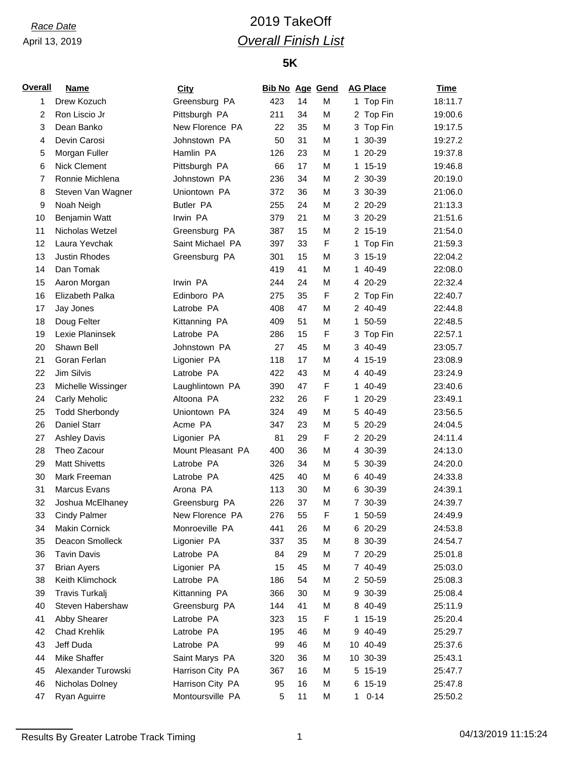# *Race Date* 2019 TakeOff *Overall Finish List*

## **5K**

| <b>Overall</b> | <b>Name</b>           | City              | <b>Bib No Age Gend</b> |    |   |    | <b>AG Place</b> | <b>Time</b> |
|----------------|-----------------------|-------------------|------------------------|----|---|----|-----------------|-------------|
| 1              | Drew Kozuch           | Greensburg PA     | 423                    | 14 | M |    | 1 Top Fin       | 18:11.7     |
| $\overline{c}$ | Ron Liscio Jr         | Pittsburgh PA     | 211                    | 34 | M |    | 2 Top Fin       | 19:00.6     |
| 3              | Dean Banko            | New Florence PA   | 22                     | 35 | M |    | 3 Top Fin       | 19:17.5     |
| 4              | Devin Carosi          | Johnstown PA      | 50                     | 31 | M |    | 1 30-39         | 19:27.2     |
| 5              | Morgan Fuller         | Hamlin PA         | 126                    | 23 | M |    | 1 20-29         | 19:37.8     |
| 6              | <b>Nick Clement</b>   | Pittsburgh PA     | 66                     | 17 | M | 1. | $15-19$         | 19:46.8     |
| $\overline{7}$ | Ronnie Michlena       | Johnstown PA      | 236                    | 34 | M |    | 2 30-39         | 20:19.0     |
| 8              | Steven Van Wagner     | Uniontown PA      | 372                    | 36 | M |    | 3 30-39         | 21:06.0     |
| 9              | Noah Neigh            | <b>Butler PA</b>  | 255                    | 24 | M |    | 2 20-29         | 21:13.3     |
| 10             | Benjamin Watt         | Irwin PA          | 379                    | 21 | M |    | 3 20-29         | 21:51.6     |
| 11             | Nicholas Wetzel       | Greensburg PA     | 387                    | 15 | M |    | 2 15-19         | 21:54.0     |
| 12             | Laura Yevchak         | Saint Michael PA  | 397                    | 33 | F |    | 1 Top Fin       | 21:59.3     |
| 13             | <b>Justin Rhodes</b>  | Greensburg PA     | 301                    | 15 | M |    | 3 15-19         | 22:04.2     |
| 14             | Dan Tomak             |                   | 419                    | 41 | M |    | 1 40-49         | 22:08.0     |
| 15             | Aaron Morgan          | Irwin PA          | 244                    | 24 | M |    | 4 20-29         | 22:32.4     |
| 16             | Elizabeth Palka       | Edinboro PA       | 275                    | 35 | F |    | 2 Top Fin       | 22:40.7     |
| 17             | Jay Jones             | Latrobe PA        | 408                    | 47 | M |    | 2 40-49         | 22:44.8     |
| 18             | Doug Felter           | Kittanning PA     | 409                    | 51 | M |    | 1 50-59         | 22:48.5     |
| 19             | Lexie Planinsek       | Latrobe PA        | 286                    | 15 | F |    | 3 Top Fin       | 22:57.1     |
| 20             | Shawn Bell            | Johnstown PA      | 27                     | 45 | M |    | 3 40-49         | 23:05.7     |
| 21             | Goran Ferlan          | Ligonier PA       | 118                    | 17 | M |    | 4 15-19         | 23:08.9     |
| 22             | Jim Silvis            | Latrobe PA        | 422                    | 43 | M |    | 4 40-49         | 23:24.9     |
| 23             | Michelle Wissinger    | Laughlintown PA   | 390                    | 47 | F |    | 1 40-49         | 23:40.6     |
| 24             | Carly Meholic         | Altoona PA        | 232                    | 26 | F |    | 1 20-29         | 23:49.1     |
| 25             | <b>Todd Sherbondy</b> | Uniontown PA      | 324                    | 49 | M |    | 5 40-49         | 23:56.5     |
| 26             | Daniel Starr          | Acme PA           | 347                    | 23 | M |    | 5 20-29         | 24:04.5     |
| 27             | <b>Ashley Davis</b>   | Ligonier PA       | 81                     | 29 | F |    | 2 20-29         | 24:11.4     |
| 28             | Theo Zacour           | Mount Pleasant PA | 400                    | 36 | M |    | 4 30-39         | 24:13.0     |
| 29             | <b>Matt Shivetts</b>  | Latrobe PA        | 326                    | 34 | M |    | 5 30-39         | 24:20.0     |
| 30             | Mark Freeman          | Latrobe PA        | 425                    | 40 | M |    | 6 40-49         | 24:33.8     |
| 31             | Marcus Evans          | Arona PA          | 113                    | 30 | М |    | 6 30-39         | 24:39.1     |
| 32             | Joshua McElhaney      | Greensburg PA     | 226                    | 37 | M |    | 7 30-39         | 24:39.7     |
| 33             | <b>Cindy Palmer</b>   | New Florence PA   | 276                    | 55 | F |    | 1 50-59         | 24:49.9     |
| 34             | <b>Makin Cornick</b>  | Monroeville PA    | 441                    | 26 | М |    | 6 20-29         | 24:53.8     |
| 35             | Deacon Smolleck       | Ligonier PA       | 337                    | 35 | М |    | 8 30-39         | 24:54.7     |
| 36             | <b>Tavin Davis</b>    | Latrobe PA        | 84                     | 29 | М |    | 7 20-29         | 25:01.8     |
| 37             | <b>Brian Ayers</b>    | Ligonier PA       | 15                     | 45 | М |    | 7 40-49         | 25:03.0     |
| 38             | Keith Klimchock       | Latrobe PA        | 186                    | 54 | М |    | 2 50-59         | 25:08.3     |
| 39             | Travis Turkalj        | Kittanning PA     | 366                    | 30 | M |    | 9 30-39         | 25:08.4     |
| 40             | Steven Habershaw      | Greensburg PA     | 144                    | 41 | M |    | 8 40-49         | 25:11.9     |
| 41             | Abby Shearer          | Latrobe PA        | 323                    | 15 | F |    | 1 15-19         | 25:20.4     |
| 42             | Chad Krehlik          | Latrobe PA        | 195                    | 46 | М |    | 9 40-49         | 25:29.7     |
| 43             | Jeff Duda             | Latrobe PA        | 99                     | 46 | М |    | 10 40-49        | 25:37.6     |
| 44             | Mike Shaffer          | Saint Marys PA    | 320                    | 36 | М |    | 10 30-39        | 25:43.1     |
| 45             | Alexander Turowski    | Harrison City PA  | 367                    | 16 | М |    | 5 15-19         | 25:47.7     |
| 46             | Nicholas Dolney       | Harrison City PA  | 95                     | 16 | М |    | 6 15-19         | 25:47.8     |
| 47             | Ryan Aguirre          | Montoursville PA  | 5                      | 11 | М |    | $10-14$         | 25:50.2     |
|                |                       |                   |                        |    |   |    |                 |             |

Results By Greater Latrobe Track Timing 1 04/13/2019 11:15:24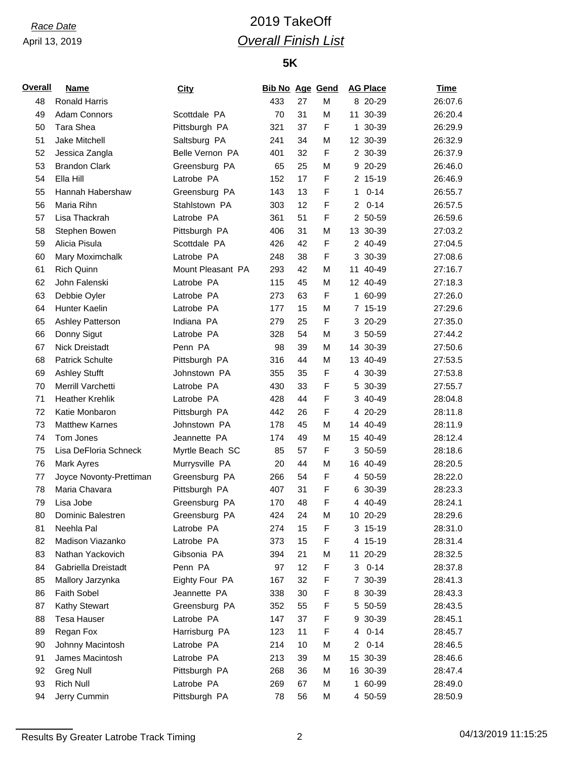# *Race Date* 2019 TakeOff *Overall Finish List*

## **5K**

| <u>Overall</u> | <b>Name</b>             | <b>City</b>       | <b>Bib No Age Gend</b> |    |   |              | <b>AG Place</b> | <b>Time</b> |
|----------------|-------------------------|-------------------|------------------------|----|---|--------------|-----------------|-------------|
| 48             | <b>Ronald Harris</b>    |                   | 433                    | 27 | M |              | 8 20-29         | 26:07.6     |
| 49             | <b>Adam Connors</b>     | Scottdale PA      | 70                     | 31 | M |              | 11 30-39        | 26:20.4     |
| 50             | Tara Shea               | Pittsburgh PA     | 321                    | 37 | F |              | 1 30-39         | 26:29.9     |
| 51             | <b>Jake Mitchell</b>    | Saltsburg PA      | 241                    | 34 | M |              | 12 30-39        | 26:32.9     |
| 52             | Jessica Zangla          | Belle Vernon PA   | 401                    | 32 | F |              | 2 30-39         | 26:37.9     |
| 53             | <b>Brandon Clark</b>    | Greensburg PA     | 65                     | 25 | M |              | 9 20-29         | 26:46.0     |
| 54             | Ella Hill               | Latrobe PA        | 152                    | 17 | F |              | 2 15-19         | 26:46.9     |
| 55             | Hannah Habershaw        | Greensburg PA     | 143                    | 13 | F | $\mathbf 1$  | $0 - 14$        | 26:55.7     |
| 56             | Maria Rihn              | Stahlstown PA     | 303                    | 12 | F | $\mathbf{2}$ | $0 - 14$        | 26:57.5     |
| 57             | Lisa Thackrah           | Latrobe PA        | 361                    | 51 | F |              | 2 50-59         | 26:59.6     |
| 58             | Stephen Bowen           | Pittsburgh PA     | 406                    | 31 | M |              | 13 30-39        | 27:03.2     |
| 59             | Alicia Pisula           | Scottdale PA      | 426                    | 42 | F |              | 2 40-49         | 27:04.5     |
| 60             | Mary Moximchalk         | Latrobe PA        | 248                    | 38 | F |              | 3 30-39         | 27:08.6     |
| 61             | <b>Rich Quinn</b>       | Mount Pleasant PA | 293                    | 42 | M |              | 11 40-49        | 27:16.7     |
| 62             | John Falenski           | Latrobe PA        | 115                    | 45 | M |              | 12 40-49        | 27:18.3     |
| 63             | Debbie Oyler            | Latrobe PA        | 273                    | 63 | F |              | 1 60-99         | 27:26.0     |
| 64             | Hunter Kaelin           | Latrobe PA        | 177                    | 15 | M |              | 7 15-19         | 27:29.6     |
| 65             | Ashley Patterson        | Indiana PA        | 279                    | 25 | F |              | 3 20-29         | 27:35.0     |
| 66             | Donny Sigut             | Latrobe PA        | 328                    | 54 | M |              | 3 50-59         | 27:44.2     |
| 67             | <b>Nick Dreistadt</b>   | Penn PA           | 98                     | 39 | M |              | 14 30-39        | 27:50.6     |
| 68             | <b>Patrick Schulte</b>  | Pittsburgh PA     | 316                    | 44 | M |              | 13 40-49        | 27:53.5     |
| 69             | <b>Ashley Stufft</b>    | Johnstown PA      | 355                    | 35 | F |              | 4 30-39         | 27:53.8     |
| 70             | Merrill Varchetti       | Latrobe PA        | 430                    | 33 | F |              | 5 30-39         | 27:55.7     |
| 71             | <b>Heather Krehlik</b>  | Latrobe PA        | 428                    | 44 | F |              | 3 40-49         | 28:04.8     |
| 72             | Katie Monbaron          | Pittsburgh PA     | 442                    | 26 | F |              | 4 20-29         | 28:11.8     |
| 73             | <b>Matthew Karnes</b>   | Johnstown PA      | 178                    | 45 | M |              | 14 40-49        | 28:11.9     |
| 74             | Tom Jones               | Jeannette PA      | 174                    | 49 | M |              | 15 40-49        | 28:12.4     |
| 75             | Lisa DeFloria Schneck   | Myrtle Beach SC   | 85                     | 57 | F |              | 3 50-59         | 28:18.6     |
| 76             | Mark Ayres              | Murrysville PA    | 20                     | 44 | M |              | 16 40-49        | 28:20.5     |
| 77             | Joyce Novonty-Prettiman | Greensburg PA     | 266                    | 54 | F |              | 4 50-59         | 28:22.0     |
| 78             | Maria Chavara           | Pittsburgh PA     | 407                    | 31 | F |              | 6 30-39         | 28:23.3     |
| 79             | Lisa Jobe               | Greensburg PA     | 170                    | 48 | F |              | 4 40-49         | 28:24.1     |
| 80             | Dominic Balestren       | Greensburg PA     | 424                    | 24 | M |              | 10 20-29        | 28:29.6     |
| 81             | Neehla Pal              | Latrobe PA        | 274                    | 15 | F |              | 3 15-19         | 28:31.0     |
| 82             | Madison Viazanko        | Latrobe PA        | 373                    | 15 | F |              | 4 15-19         | 28:31.4     |
| 83             | Nathan Yackovich        | Gibsonia PA       | 394                    | 21 | M |              | 11 20-29        | 28:32.5     |
| 84             | Gabriella Dreistadt     | Penn PA           | 97                     | 12 | F | 3            | $0 - 14$        | 28:37.8     |
| 85             | Mallory Jarzynka        | Eighty Four PA    | 167                    | 32 | F |              | 7 30-39         | 28:41.3     |
| 86             | <b>Faith Sobel</b>      | Jeannette PA      | 338                    | 30 | F |              | 8 30-39         | 28:43.3     |
| 87             | Kathy Stewart           | Greensburg PA     | 352                    | 55 | F |              | 5 50-59         | 28:43.5     |
| 88             | <b>Tesa Hauser</b>      | Latrobe PA        | 147                    | 37 | F | 9            | 30-39           | 28:45.1     |
| 89             | Regan Fox               | Harrisburg PA     | 123                    | 11 | F | 4            | $0 - 14$        | 28:45.7     |
| 90             | Johnny Macintosh        | Latrobe PA        | 214                    | 10 | M | 2            | $0 - 14$        | 28:46.5     |
| 91             | James Macintosh         | Latrobe PA        | 213                    | 39 | M |              | 15 30-39        | 28:46.6     |
| 92             | <b>Greg Null</b>        | Pittsburgh PA     | 268                    | 36 | М |              | 16 30-39        | 28:47.4     |
| 93             | <b>Rich Null</b>        | Latrobe PA        | 269                    | 67 | M |              | 1 60-99         | 28:49.0     |
| 94             | Jerry Cummin            | Pittsburgh PA     | 78                     | 56 | М |              | 4 50-59         | 28:50.9     |
|                |                         |                   |                        |    |   |              |                 |             |

Results By Greater Latrobe Track Timing 2 04/13/2019 11:15:25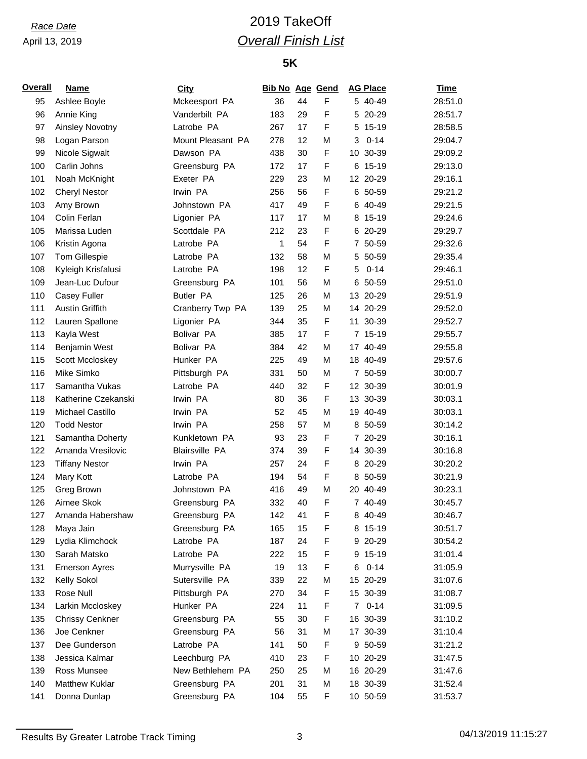# *Race Date* 2019 TakeOff *Overall Finish List*

## **5K**

| <b>Overall</b> | <b>Name</b>             | <b>City</b>           | <b>Bib No Age Gend</b> |    |              |    | <b>AG Place</b> | <b>Time</b> |
|----------------|-------------------------|-----------------------|------------------------|----|--------------|----|-----------------|-------------|
| 95             | Ashlee Boyle            | Mckeesport PA         | 36                     | 44 | F            |    | 5 40-49         | 28:51.0     |
| 96             | Annie King              | Vanderbilt PA         | 183                    | 29 | $\mathsf F$  |    | 5 20-29         | 28:51.7     |
| 97             | Ainsley Novotny         | Latrobe PA            | 267                    | 17 | F            |    | 5 15-19         | 28:58.5     |
| 98             | Logan Parson            | Mount Pleasant PA     | 278                    | 12 | M            | 3  | $0 - 14$        | 29:04.7     |
| 99             | Nicole Sigwalt          | Dawson PA             | 438                    | 30 | F            |    | 10 30-39        | 29:09.2     |
| 100            | Carlin Johns            | Greensburg PA         | 172                    | 17 | F            |    | 6 15-19         | 29:13.0     |
| 101            | Noah McKnight           | Exeter PA             | 229                    | 23 | M            |    | 12 20-29        | 29:16.1     |
| 102            | <b>Cheryl Nestor</b>    | Irwin PA              | 256                    | 56 | $\mathsf F$  |    | 6 50-59         | 29:21.2     |
| 103            | Amy Brown               | Johnstown PA          | 417                    | 49 | F            |    | 6 40-49         | 29:21.5     |
| 104            | Colin Ferlan            | Ligonier PA           | 117                    | 17 | M            |    | 8 15-19         | 29:24.6     |
| 105            | Marissa Luden           | Scottdale PA          | 212                    | 23 | F            |    | 6 20-29         | 29:29.7     |
| 106            | Kristin Agona           | Latrobe PA            | 1                      | 54 | $\mathsf{F}$ |    | 7 50-59         | 29:32.6     |
| 107            | <b>Tom Gillespie</b>    | Latrobe PA            | 132                    | 58 | M            | 5  | 50-59           | 29:35.4     |
| 108            | Kyleigh Krisfalusi      | Latrobe PA            | 198                    | 12 | $\mathsf F$  | 5  | $0 - 14$        | 29:46.1     |
| 109            | Jean-Luc Dufour         | Greensburg PA         | 101                    | 56 | M            |    | 6 50-59         | 29:51.0     |
| 110            | Casey Fuller            | <b>Butler PA</b>      | 125                    | 26 | M            |    | 13 20-29        | 29:51.9     |
| 111            | <b>Austin Griffith</b>  | Cranberry Twp PA      | 139                    | 25 | M            |    | 14 20-29        | 29:52.0     |
| 112            | Lauren Spallone         | Ligonier PA           | 344                    | 35 | F            | 11 | 30-39           | 29:52.7     |
| 113            | Kayla West              | Bolivar PA            | 385                    | 17 | F            |    | 7 15-19         | 29:55.7     |
| 114            | Benjamin West           | Bolivar PA            | 384                    | 42 | M            |    | 17 40-49        | 29:55.8     |
| 115            | Scott Mccloskey         | Hunker PA             | 225                    | 49 | M            |    | 18 40-49        | 29:57.6     |
| 116            | Mike Simko              | Pittsburgh PA         | 331                    | 50 | M            |    | 7 50-59         | 30:00.7     |
| 117            | Samantha Vukas          | Latrobe PA            | 440                    | 32 | F            |    | 12 30-39        | 30:01.9     |
| 118            | Katherine Czekanski     | Irwin PA              | 80                     | 36 | $\mathsf F$  |    | 13 30-39        | 30:03.1     |
| 119            | <b>Michael Castillo</b> | Irwin PA              | 52                     | 45 | M            |    | 19 40-49        | 30:03.1     |
| 120            | <b>Todd Nestor</b>      | Irwin PA              | 258                    | 57 | M            |    | 8 50-59         | 30:14.2     |
| 121            | Samantha Doherty        | Kunkletown PA         | 93                     | 23 | F            |    | 7 20-29         | 30:16.1     |
| 122            | Amanda Vresilovic       | <b>Blairsville PA</b> | 374                    | 39 | $\mathsf F$  |    | 14 30-39        | 30:16.8     |
| 123            | <b>Tiffany Nestor</b>   | Irwin PA              | 257                    | 24 | F            |    | 8 20-29         | 30:20.2     |
| 124            | Mary Kott               | Latrobe PA            | 194                    | 54 | F            |    | 8 50-59         | 30:21.9     |
| 125            | Greg Brown              | Johnstown PA          | 416                    | 49 | М            |    | 20 40-49        | 30:23.1     |
| 126            | Aimee Skok              | Greensburg PA         | 332                    | 40 | $\mathsf F$  |    | 7 40-49         | 30:45.7     |
| 127            | Amanda Habershaw        | Greensburg PA         | 142                    | 41 | F            |    | 8 40-49         | 30:46.7     |
| 128            | Maya Jain               | Greensburg PA         | 165                    | 15 | F            |    | 8 15-19         | 30:51.7     |
| 129            | Lydia Klimchock         | Latrobe PA            | 187                    | 24 | F            |    | 9 20-29         | 30:54.2     |
| 130            | Sarah Matsko            | Latrobe PA            | 222                    | 15 | F            |    | 9 15-19         | 31:01.4     |
| 131            | <b>Emerson Ayres</b>    | Murrysville PA        | 19                     | 13 | F            | 6  | $0 - 14$        | 31:05.9     |
| 132            | Kelly Sokol             | Sutersville PA        | 339                    | 22 | M            |    | 15 20-29        | 31:07.6     |
| 133            | Rose Null               | Pittsburgh PA         | 270                    | 34 | F            |    | 15 30-39        | 31:08.7     |
| 134            | Larkin Mccloskey        | Hunker PA             | 224                    | 11 | F            |    | 7 0-14          | 31:09.5     |
| 135            | <b>Chrissy Cenkner</b>  | Greensburg PA         | 55                     | 30 | F            |    | 16 30-39        | 31:10.2     |
| 136            | Joe Cenkner             | Greensburg PA         | 56                     | 31 | M            |    | 17 30-39        | 31:10.4     |
| 137            | Dee Gunderson           | Latrobe PA            | 141                    | 50 | F            |    | 9 50-59         | 31:21.2     |
| 138            | Jessica Kalmar          | Leechburg PA          | 410                    | 23 | F            |    | 10 20-29        | 31:47.5     |
| 139            | Ross Munsee             | New Bethlehem PA      | 250                    | 25 | M            |    | 16 20-29        | 31:47.6     |
| 140            | Matthew Kuklar          | Greensburg PA         | 201                    | 31 | M            |    | 18 30-39        | 31:52.4     |
| 141            | Donna Dunlap            | Greensburg PA         | 104                    | 55 | F            |    | 10 50-59        | 31:53.7     |

Results By Greater Latrobe Track Timing 3 3 04/13/2019 11:15:27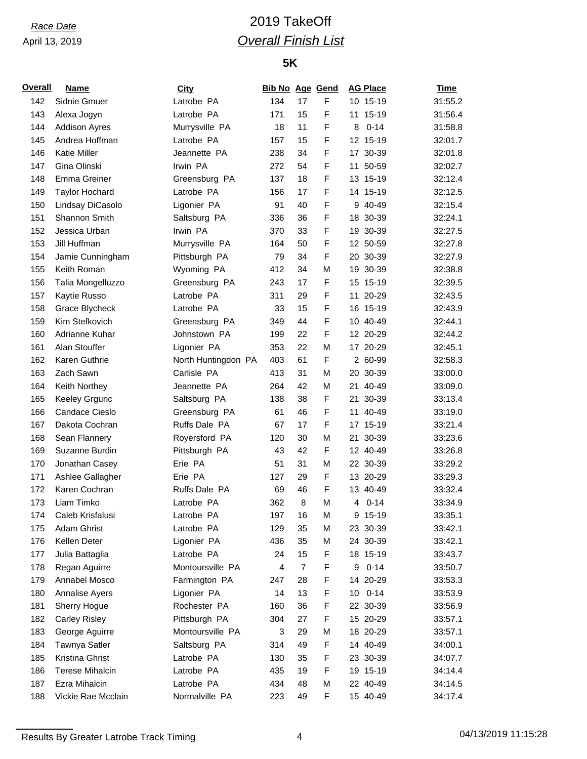# *Race Date* 2019 TakeOff *Overall Finish List*

## **5K**

| <b>Overall</b> | <b>Name</b>            | City                | <b>Bib No Age Gend</b> |                |             | <b>AG Place</b> | <b>Time</b> |
|----------------|------------------------|---------------------|------------------------|----------------|-------------|-----------------|-------------|
| 142            | Sidnie Gmuer           | Latrobe PA          | 134                    | 17             | F           | 10 15-19        | 31:55.2     |
| 143            | Alexa Jogyn            | Latrobe PA          | 171                    | 15             | F           | 11 15-19        | 31:56.4     |
| 144            | <b>Addison Ayres</b>   | Murrysville PA      | 18                     | 11             | F           | $0 - 14$<br>8   | 31:58.8     |
| 145            | Andrea Hoffman         | Latrobe PA          | 157                    | 15             | F           | 12 15-19        | 32:01.7     |
| 146            | <b>Katie Miller</b>    | Jeannette PA        | 238                    | 34             | F           | 17 30-39        | 32:01.8     |
| 147            | Gina Olinski           | Irwin PA            | 272                    | 54             | F           | 11 50-59        | 32:02.7     |
| 148            | Emma Greiner           | Greensburg PA       | 137                    | 18             | F           | 13 15-19        | 32:12.4     |
| 149            | <b>Taylor Hochard</b>  | Latrobe PA          | 156                    | 17             | F           | 14 15-19        | 32:12.5     |
| 150            | Lindsay DiCasolo       | Ligonier PA         | 91                     | 40             | F           | 9 40-49         | 32:15.4     |
| 151            | Shannon Smith          | Saltsburg PA        | 336                    | 36             | F           | 18 30-39        | 32:24.1     |
| 152            | Jessica Urban          | Irwin PA            | 370                    | 33             | F           | 19 30-39        | 32:27.5     |
| 153            | Jill Huffman           | Murrysville PA      | 164                    | 50             | F           | 12 50-59        | 32:27.8     |
| 154            | Jamie Cunningham       | Pittsburgh PA       | 79                     | 34             | F           | 20 30-39        | 32:27.9     |
| 155            | Keith Roman            | Wyoming PA          | 412                    | 34             | M           | 19 30-39        | 32:38.8     |
| 156            | Talia Mongelluzzo      | Greensburg PA       | 243                    | 17             | F           | 15 15-19        | 32:39.5     |
| 157            | Kaytie Russo           | Latrobe PA          | 311                    | 29             | F           | 11 20-29        | 32:43.5     |
| 158            | Grace Blycheck         | Latrobe PA          | 33                     | 15             | F           | 16 15-19        | 32:43.9     |
| 159            | Kim Stefkovich         | Greensburg PA       | 349                    | 44             | F           | 10 40-49        | 32:44.1     |
| 160            | Adrianne Kuhar         | Johnstown PA        | 199                    | 22             | $\mathsf F$ | 12 20-29        | 32:44.2     |
| 161            | Alan Stouffer          | Ligonier PA         | 353                    | 22             | M           | 17 20-29        | 32:45.1     |
| 162            | Karen Guthrie          | North Huntingdon PA | 403                    | 61             | $\mathsf F$ | 2 60-99         | 32:58.3     |
| 163            | Zach Sawn              | Carlisle PA         | 413                    | 31             | M           | 20 30-39        | 33:00.0     |
| 164            | Keith Northey          | Jeannette PA        | 264                    | 42             | M           | 21 40-49        | 33:09.0     |
| 165            | Keeley Grguric         | Saltsburg PA        | 138                    | 38             | F           | 21 30-39        | 33:13.4     |
| 166            | Candace Cieslo         | Greensburg PA       | 61                     | 46             | F           | 11 40-49        | 33:19.0     |
| 167            | Dakota Cochran         | Ruffs Dale PA       | 67                     | 17             | F           | 17 15-19        | 33:21.4     |
| 168            | Sean Flannery          | Royersford PA       | 120                    | 30             | M           | 21 30-39        | 33:23.6     |
| 169            | Suzanne Burdin         | Pittsburgh PA       | 43                     | 42             | F           | 12 40-49        | 33:26.8     |
| 170            | Jonathan Casey         | Erie PA             | 51                     | 31             | M           | 22 30-39        | 33:29.2     |
| 171            | Ashlee Gallagher       | Erie PA             | 127                    | 29             | F           | 13 20-29        | 33:29.3     |
| 172            | Karen Cochran          | Ruffs Dale PA       | 69                     | 46             | F           | 13 40-49        | 33:32.4     |
| 173            | Liam Timko             | Latrobe PA          | 362                    | 8              | M           | 4 0-14          | 33:34.9     |
| 174            | Caleb Krisfalusi       | Latrobe PA          | 197                    | 16             | M           | 9 15-19         | 33:35.1     |
| 175            | Adam Ghrist            | Latrobe PA          | 129                    | 35             | М           | 23 30-39        | 33:42.1     |
| 176            | Kellen Deter           | Ligonier PA         | 436                    | 35             | M           | 24 30-39        | 33:42.1     |
| 177            | Julia Battaglia        | Latrobe PA          | 24                     | 15             | F           | 18 15-19        | 33:43.7     |
| 178            | Regan Aguirre          | Montoursville PA    | $\overline{4}$         | $\overline{7}$ | F           | $0 - 14$<br>9   | 33:50.7     |
| 179            | Annabel Mosco          | Farmington PA       | 247                    | 28             | F           | 14 20-29        | 33:53.3     |
| 180            | Annalise Ayers         | Ligonier PA         | 14                     | 13             | F           | $0 - 14$<br>10  | 33:53.9     |
| 181            | <b>Sherry Hogue</b>    | Rochester PA        | 160                    | 36             | F           | 22 30-39        | 33:56.9     |
| 182            | <b>Carley Risley</b>   | Pittsburgh PA       | 304                    | 27             | F           | 15 20-29        | 33:57.1     |
| 183            | George Aguirre         | Montoursville PA    | 3                      | 29             | M           | 18 20-29        | 33:57.1     |
| 184            | Tawnya Satler          | Saltsburg PA        | 314                    | 49             | F           | 14 40-49        | 34:00.1     |
| 185            | Kristina Ghrist        | Latrobe PA          | 130                    | 35             | F           | 23 30-39        | 34:07.7     |
| 186            | <b>Terese Mihalcin</b> | Latrobe PA          | 435                    | 19             | F           | 19 15-19        | 34:14.4     |
| 187            | Ezra Mihalcin          | Latrobe PA          | 434                    | 48             | M           | 22 40-49        | 34:14.5     |
| 188            | Vickie Rae Mcclain     | Normalville PA      | 223                    | 49             | F           | 15 40-49        | 34:17.4     |

Results By Greater Latrobe Track Timing 1998 14 120 14 12 14 14 15:28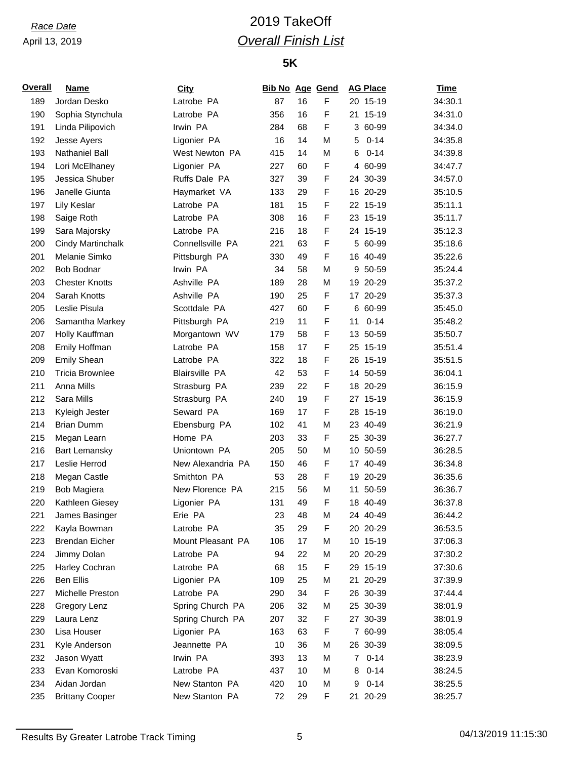# *Race Date* 2019 TakeOff *Overall Finish List*

## **5K**

| <b>Overall</b> | <b>Name</b>                           | <b>City</b>              | <b>Bib No Age Gend</b> |    |             | <b>AG Place</b> | <b>Time</b>        |
|----------------|---------------------------------------|--------------------------|------------------------|----|-------------|-----------------|--------------------|
| 189            | Jordan Desko                          | Latrobe PA               | 87                     | 16 | F           | 20 15-19        | 34:30.1            |
| 190            | Sophia Stynchula                      | Latrobe PA               | 356                    | 16 | F           | 21 15-19        | 34:31.0            |
| 191            | Linda Pilipovich                      | Irwin PA                 | 284                    | 68 | F           | 3 60-99         | 34:34.0            |
| 192            | Jesse Ayers                           | Ligonier PA              | 16                     | 14 | M           | $0 - 14$<br>5   | 34:35.8            |
| 193            | <b>Nathaniel Ball</b>                 | West Newton PA           | 415                    | 14 | M           | $0 - 14$<br>6   | 34:39.8            |
| 194            | Lori McElhaney                        | Ligonier PA              | 227                    | 60 | F           | 4 60-99         | 34:47.7            |
| 195            | Jessica Shuber                        | Ruffs Dale PA            | 327                    | 39 | F           | 24 30-39        | 34:57.0            |
| 196            | Janelle Giunta                        | Haymarket VA             | 133                    | 29 | F           | 16 20-29        | 35:10.5            |
| 197            | <b>Lily Keslar</b>                    | Latrobe PA               | 181                    | 15 | F           | 22 15-19        | 35:11.1            |
| 198            | Saige Roth                            | Latrobe PA               | 308                    | 16 | F           | 23 15-19        | 35:11.7            |
| 199            | Sara Majorsky                         | Latrobe PA               | 216                    | 18 | F           | 24 15-19        | 35:12.3            |
| 200            | <b>Cindy Martinchalk</b>              | Connellsville PA         | 221                    | 63 | F           | 5 60-99         | 35:18.6            |
| 201            | Melanie Simko                         | Pittsburgh PA            | 330                    | 49 | F           | 16 40-49        | 35:22.6            |
| 202            | <b>Bob Bodnar</b>                     | Irwin PA                 | 34                     | 58 | M           | 9 50-59         | 35:24.4            |
| 203            | <b>Chester Knotts</b>                 | Ashville PA              | 189                    | 28 | M           | 19 20-29        | 35:37.2            |
| 204            | Sarah Knotts                          | Ashville PA              | 190                    | 25 | F           | 17 20-29        | 35:37.3            |
| 205            | Leslie Pisula                         | Scottdale PA             | 427                    | 60 | F           | 6 60-99         | 35:45.0            |
| 206            | Samantha Markey                       | Pittsburgh PA            | 219                    | 11 | F           | $0 - 14$<br>11  | 35:48.2            |
| 207            | Holly Kauffman                        | Morgantown WV            | 179                    | 58 | F           | 13 50-59        | 35:50.7            |
| 208            | Emily Hoffman                         | Latrobe PA               | 158                    | 17 | F           | 25 15-19        | 35:51.4            |
| 209            | <b>Emily Shean</b>                    | Latrobe PA               | 322                    | 18 | F           | 26 15-19        | 35:51.5            |
| 210            | <b>Tricia Brownlee</b>                | <b>Blairsville PA</b>    | 42                     | 53 | F           | 14 50-59        | 36:04.1            |
| 211            | Anna Mills                            | Strasburg PA             | 239                    | 22 | F           | 18 20-29        | 36:15.9            |
| 212            | Sara Mills                            | Strasburg PA             | 240                    | 19 | F           | 27 15-19        | 36:15.9            |
| 213            | Kyleigh Jester                        | Seward PA                | 169                    | 17 | F           | 28 15-19        | 36:19.0            |
| 214            | <b>Brian Dumm</b>                     | Ebensburg PA             | 102                    | 41 | M           | 23 40-49        | 36:21.9            |
| 215            | Megan Learn                           | Home PA                  | 203                    | 33 | $\mathsf F$ | 25 30-39        | 36:27.7            |
| 216            | <b>Bart Lemansky</b>                  | Uniontown PA             | 205                    | 50 | M           | 10 50-59        | 36:28.5            |
| 217            | Leslie Herrod                         | New Alexandria PA        | 150                    | 46 | F           | 17 40-49        | 36:34.8            |
| 218            | Megan Castle                          | Smithton PA              | 53                     | 28 | $\mathsf F$ | 19 20-29        | 36:35.6            |
| 219            | <b>Bob Magiera</b>                    | New Florence PA          | 215                    | 56 | M           | 11 50-59        | 36:36.7            |
| 220            |                                       | Ligonier PA              | 131                    | 49 | F           | 18 40-49        | 36:37.8            |
|                | Kathleen Giesey                       |                          |                        |    |             |                 | 36:44.2            |
| 221            | James Basinger                        | Erie PA                  | 23                     | 48 | M           | 24 40-49        |                    |
| 222            | Kayla Bowman<br><b>Brendan Eicher</b> | Latrobe PA               | 35                     | 29 | F           | 20 20-29        | 36:53.5            |
| 223            |                                       | Mount Pleasant PA        | 106                    | 17 | M           | 10 15-19        | 37:06.3            |
| 224            | Jimmy Dolan                           | Latrobe PA<br>Latrobe PA | 94                     | 22 | М<br>F      | 20 20-29        | 37:30.2<br>37:30.6 |
| 225            | Harley Cochran                        |                          | 68                     | 15 |             | 29 15-19        |                    |
| 226            | <b>Ben Ellis</b>                      | Ligonier PA              | 109                    | 25 | М           | 21 20-29        | 37:39.9            |
| 227            | Michelle Preston                      | Latrobe PA               | 290                    | 34 | $\mathsf F$ | 26 30-39        | 37:44.4            |
| 228            | Gregory Lenz                          | Spring Church PA         | 206                    | 32 | М           | 25 30-39        | 38:01.9            |
| 229            | Laura Lenz                            | Spring Church PA         | 207                    | 32 | F           | 27 30-39        | 38:01.9            |
| 230            | Lisa Houser                           | Ligonier PA              | 163                    | 63 | F           | 7 60-99         | 38:05.4            |
| 231            | Kyle Anderson                         | Jeannette PA             | 10                     | 36 | M           | 26 30-39        | 38:09.5            |
| 232            | Jason Wyatt                           | Irwin PA                 | 393                    | 13 | M           | $0 - 14$<br>7   | 38:23.9            |
| 233            | Evan Komoroski                        | Latrobe PA               | 437                    | 10 | М           | $0 - 14$<br>8   | 38:24.5            |
| 234            | Aidan Jordan                          | New Stanton PA           | 420                    | 10 | M           | $0 - 14$<br>9   | 38:25.5            |
| 235            | <b>Brittany Cooper</b>                | New Stanton PA           | 72                     | 29 | F           | 21 20-29        | 38:25.7            |

Results By Greater Latrobe Track Timing 5 04/13/2019 11:15:30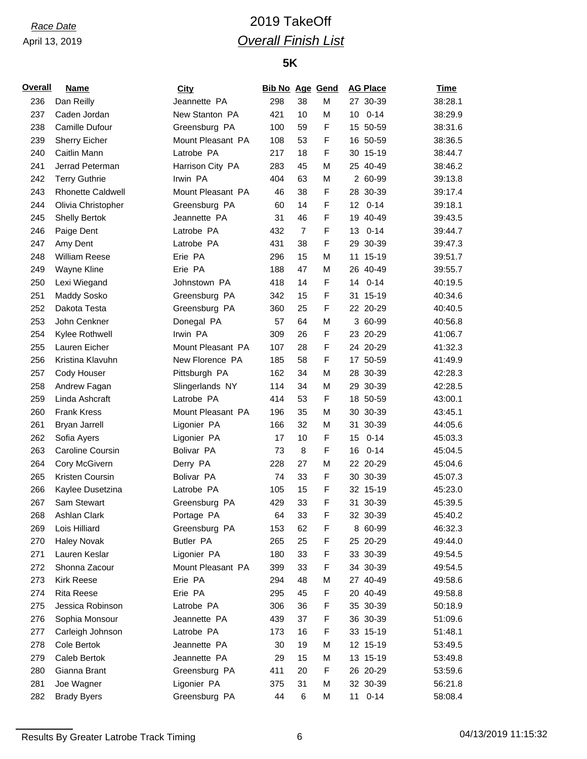# *Race Date* 2019 TakeOff *Overall Finish List*

### **5K**

| <b>Overall</b> | Name                     | City              | <b>Bib No Age Gend</b> |                |   | <b>AG Place</b>              | <b>Time</b> |
|----------------|--------------------------|-------------------|------------------------|----------------|---|------------------------------|-------------|
| 236            | Dan Reilly               | Jeannette PA      | 298                    | 38             | M | 27 30-39                     | 38:28.1     |
| 237            | Caden Jordan             | New Stanton PA    | 421                    | 10             | M | $0 - 14$<br>10               | 38:29.9     |
| 238            | Camille Dufour           | Greensburg PA     | 100                    | 59             | F | 15 50-59                     | 38:31.6     |
| 239            | Sherry Eicher            | Mount Pleasant PA | 108                    | 53             | F | 16 50-59                     | 38:36.5     |
| 240            | Caitlin Mann             | Latrobe PA        | 217                    | 18             | F | 30 15-19                     | 38:44.7     |
| 241            | Jerrad Peterman          | Harrison City PA  | 283                    | 45             | M | 25 40-49                     | 38:46.2     |
| 242            | <b>Terry Guthrie</b>     | Irwin PA          | 404                    | 63             | M | 2 60-99                      | 39:13.8     |
| 243            | <b>Rhonette Caldwell</b> | Mount Pleasant PA | 46                     | 38             | F | 28 30-39                     | 39:17.4     |
| 244            | Olivia Christopher       | Greensburg PA     | 60                     | 14             | F | $0 - 14$<br>12 <sup>12</sup> | 39:18.1     |
| 245            | <b>Shelly Bertok</b>     | Jeannette PA      | 31                     | 46             | F | 19 40-49                     | 39:43.5     |
| 246            | Paige Dent               | Latrobe PA        | 432                    | $\overline{7}$ | F | $0 - 14$<br>13               | 39:44.7     |
| 247            | Amy Dent                 | Latrobe PA        | 431                    | 38             | F | 29 30-39                     | 39:47.3     |
| 248            | <b>William Reese</b>     | Erie PA           | 296                    | 15             | M | 11 15-19                     | 39:51.7     |
| 249            | Wayne Kline              | Erie PA           | 188                    | 47             | M | 26 40-49                     | 39:55.7     |
| 250            | Lexi Wiegand             | Johnstown PA      | 418                    | 14             | F | $0 - 14$<br>14               | 40:19.5     |
| 251            | Maddy Sosko              | Greensburg PA     | 342                    | 15             | F | 31 15-19                     | 40:34.6     |
| 252            | Dakota Testa             | Greensburg PA     | 360                    | 25             | F | 22 20-29                     | 40:40.5     |
| 253            | John Cenkner             | Donegal PA        | 57                     | 64             | M | 3 60-99                      | 40:56.8     |
| 254            | Kylee Rothwell           | Irwin PA          | 309                    | 26             | F | 23 20-29                     | 41:06.7     |
| 255            | Lauren Eicher            | Mount Pleasant PA | 107                    | 28             | F | 24 20-29                     | 41:32.3     |
|                | Kristina Klavuhn         | New Florence PA   | 185                    | 58             | F | 17 50-59                     | 41:49.9     |
| 256            |                          |                   |                        |                |   |                              |             |
| 257            | Cody Houser              | Pittsburgh PA     | 162                    | 34             | M | 28 30-39                     | 42:28.3     |
| 258            | Andrew Fagan             | Slingerlands NY   | 114                    | 34             | M | 29 30-39                     | 42:28.5     |
| 259            | Linda Ashcraft           | Latrobe PA        | 414                    | 53             | F | 18 50-59                     | 43:00.1     |
| 260            | <b>Frank Kress</b>       | Mount Pleasant PA | 196                    | 35             | M | 30 30-39                     | 43:45.1     |
| 261            | <b>Bryan Jarrell</b>     | Ligonier PA       | 166                    | 32             | M | 30-39<br>31                  | 44:05.6     |
| 262            | Sofia Ayers              | Ligonier PA       | 17                     | 10             | F | 15<br>$0 - 14$               | 45:03.3     |
| 263            | Caroline Coursin         | Bolivar PA        | 73                     | 8              | F | 16<br>$0 - 14$               | 45:04.5     |
| 264            | Cory McGivern            | Derry PA          | 228                    | 27             | M | 22 20-29                     | 45:04.6     |
| 265            | Kristen Coursin          | Bolivar PA        | 74                     | 33             | F | 30 30-39                     | 45:07.3     |
| 266            | Kaylee Dusetzina         | Latrobe PA        | 105                    | 15             | F | 32 15-19                     | 45:23.0     |
| 267            | Sam Stewart              | Greensburg PA     | 429                    | 33             | F | 31 30-39                     | 45:39.5     |
| 268            | Ashlan Clark             | Portage PA        | 64                     | 33             | F | 32 30-39                     | 45:40.2     |
| 269            | Lois Hilliard            | Greensburg PA     | 153                    | 62             | F | 8 60-99                      | 46:32.3     |
| 270            | <b>Haley Novak</b>       | Butler PA         | 265                    | 25             | F | 25 20-29                     | 49:44.0     |
| 271            | Lauren Keslar            | Ligonier PA       | 180                    | 33             | F | 33 30-39                     | 49:54.5     |
| 272            | Shonna Zacour            | Mount Pleasant PA | 399                    | 33             | F | 34 30-39                     | 49:54.5     |
| 273            | Kirk Reese               | Erie PA           | 294                    | 48             | M | 27 40-49                     | 49:58.6     |
| 274            | <b>Rita Reese</b>        | Erie PA           | 295                    | 45             | F | 20 40-49                     | 49:58.8     |
| 275            | Jessica Robinson         | Latrobe PA        | 306                    | 36             | F | 35 30-39                     | 50:18.9     |
| 276            | Sophia Monsour           | Jeannette PA      | 439                    | 37             | F | 36 30-39                     | 51:09.6     |
| 277            | Carleigh Johnson         | Latrobe PA        | 173                    | 16             | F | 33 15-19                     | 51:48.1     |
| 278            | Cole Bertok              | Jeannette PA      | 30                     | 19             | M | 12 15-19                     | 53:49.5     |
| 279            | Caleb Bertok             | Jeannette PA      | 29                     | 15             | M | 13 15-19                     | 53:49.8     |
| 280            | Gianna Brant             | Greensburg PA     | 411                    | 20             | F | 26 20-29                     | 53:59.6     |
| 281            | Joe Wagner               | Ligonier PA       | 375                    | 31             | M | 32 30-39                     | 56:21.8     |
| 282            | <b>Brady Byers</b>       | Greensburg PA     | 44                     | 6              | M | $0 - 14$<br>11               | 58:08.4     |

Results By Greater Latrobe Track Timing 6 04/13/2019 11:15:32